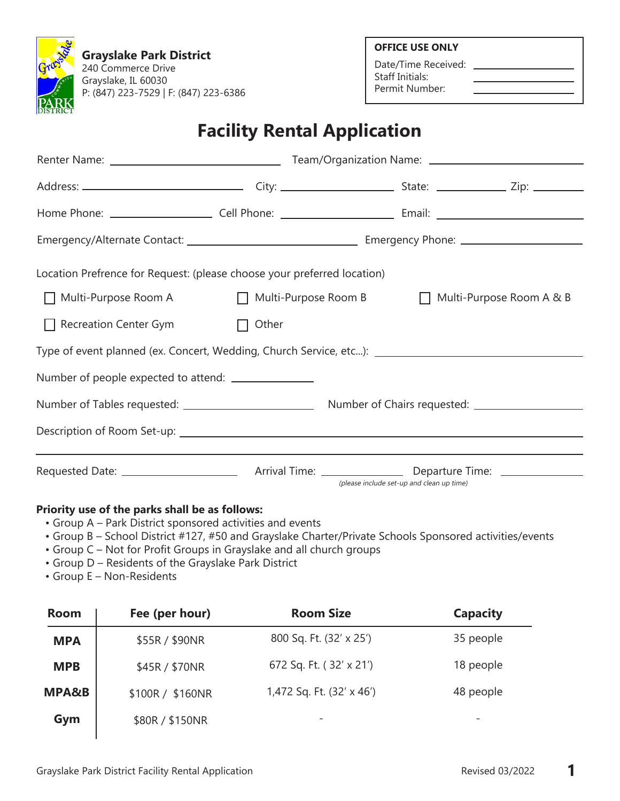**Grayslake Park District** 240 Commerce Drive Grayslake, IL 60030 P: (847) 223-7529 | F: (847) 223-6386 **OFFICE USE ONLY**

Date/Time Received: \_ Staff Initials: Permit Number:

## **Facility Rental Application**

| Location Prefrence for Request: (please choose your preferred location) |       |                                                                                                   |  |  |
|-------------------------------------------------------------------------|-------|---------------------------------------------------------------------------------------------------|--|--|
| Multi-Purpose Room A ■ Multi-Purpose Room B<br>$\perp$                  |       | Multi-Purpose Room A & B                                                                          |  |  |
| Recreation Center Gym                                                   | Other |                                                                                                   |  |  |
|                                                                         |       | Type of event planned (ex. Concert, Wedding, Church Service, etc): ______________________________ |  |  |
| Number of people expected to attend: ________________                   |       |                                                                                                   |  |  |
|                                                                         |       |                                                                                                   |  |  |
|                                                                         |       |                                                                                                   |  |  |
|                                                                         |       | (please include set-up and clean up time)                                                         |  |  |

### **Priority use of the parks shall be as follows:**

- Group A Park District sponsored activities and events
- Group B School District #127, #50 and Grayslake Charter/Private Schools Sponsored activities/events
- Group C Not for Profit Groups in Grayslake and all church groups
- Group D Residents of the Grayslake Park District
- Group E Non-Residents

| <b>Room</b>      | Fee (per hour)   | <b>Room Size</b>          | <b>Capacity</b> |
|------------------|------------------|---------------------------|-----------------|
| <b>MPA</b>       | \$55R / \$90NR   | 800 Sq. Ft. (32' x 25')   | 35 people       |
| <b>MPB</b>       | \$45R / \$70NR   | 672 Sq. Ft. (32' x 21')   | 18 people       |
| <b>MPA&amp;B</b> | \$100R / \$160NR | 1,472 Sq. Ft. (32' x 46') | 48 people       |
| Gym              | \$80R / \$150NR  | -                         | -               |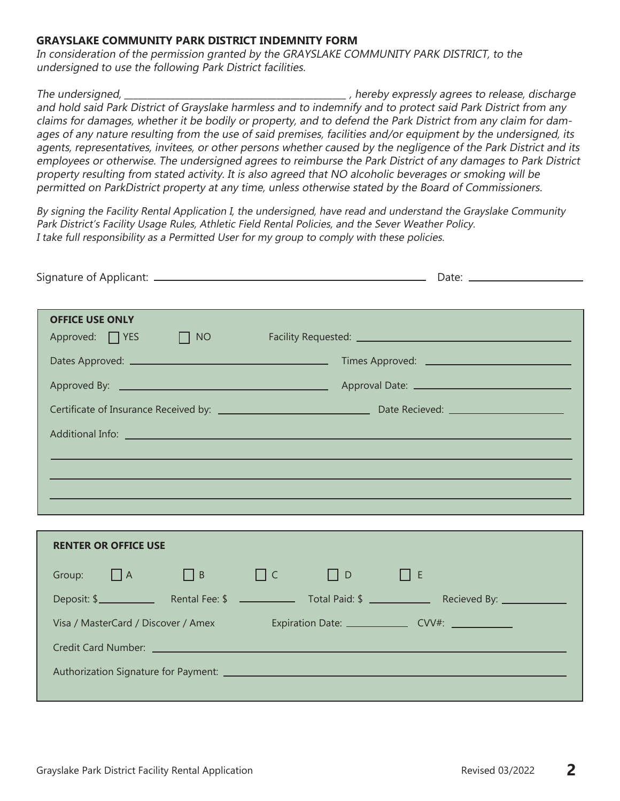#### **GRAYSLAKE COMMUNITY PARK DISTRICT INDEMNITY FORM**

In consideration of the permission granted by the GRAYSLAKE COMMUNITY PARK DISTRICT, to the undersigned to use the following Park District facilities.

The undersigned, the undersigned, the state of the state of the state of the state of the state of the state of the state of the state of the state of the state of the state of the state of the state of the state of the st and hold said Park District of Grayslake harmless and to indemnify and to protect said Park District from any claims for damages, whether it be bodily or property, and to defend the Park District from any claim for damages of any nature resulting from the use of said premises, facilities and/or equipment by the undersigned, its agents, representatives, invitees, or other persons whether caused by the negligence of the Park District and its employees or otherwise. The undersigned agrees to reimburse the Park District of any damages to Park District property resulting from stated activity. It is also agreed that NO alcoholic beverages or smoking will be permitted on ParkDistrict property at any time, unless otherwise stated by the Board of Commissioners.

By signing the Facility Rental Application I, the undersigned, have read and understand the Grayslake Community Park District's Facility Usage Rules, Athletic Field Rental Policies, and the Sever Weather Policy. I take full responsibility as a Permitted User for my group to comply with these policies.

| <b>OFFICE USE ONLY</b>              |  |  |                                  |  | Approved: T YES T NO Facility Requested: The Contract of the Contract of the Contract of T NO Contract of T Approved: |
|-------------------------------------|--|--|----------------------------------|--|-----------------------------------------------------------------------------------------------------------------------|
|                                     |  |  |                                  |  |                                                                                                                       |
|                                     |  |  |                                  |  |                                                                                                                       |
|                                     |  |  |                                  |  |                                                                                                                       |
|                                     |  |  |                                  |  |                                                                                                                       |
|                                     |  |  |                                  |  |                                                                                                                       |
|                                     |  |  |                                  |  |                                                                                                                       |
|                                     |  |  |                                  |  |                                                                                                                       |
|                                     |  |  |                                  |  |                                                                                                                       |
| <b>RENTER OR OFFICE USE</b>         |  |  |                                  |  |                                                                                                                       |
| Group: $\Box A$ $\Box B$            |  |  | $\Box$ $C$ $\Box$ $D$ $\Box$ $E$ |  |                                                                                                                       |
|                                     |  |  |                                  |  | Deposit: \$                                                                                                           |
|                                     |  |  |                                  |  |                                                                                                                       |
| Visa / MasterCard / Discover / Amex |  |  |                                  |  |                                                                                                                       |

Authorization Signature for Payment: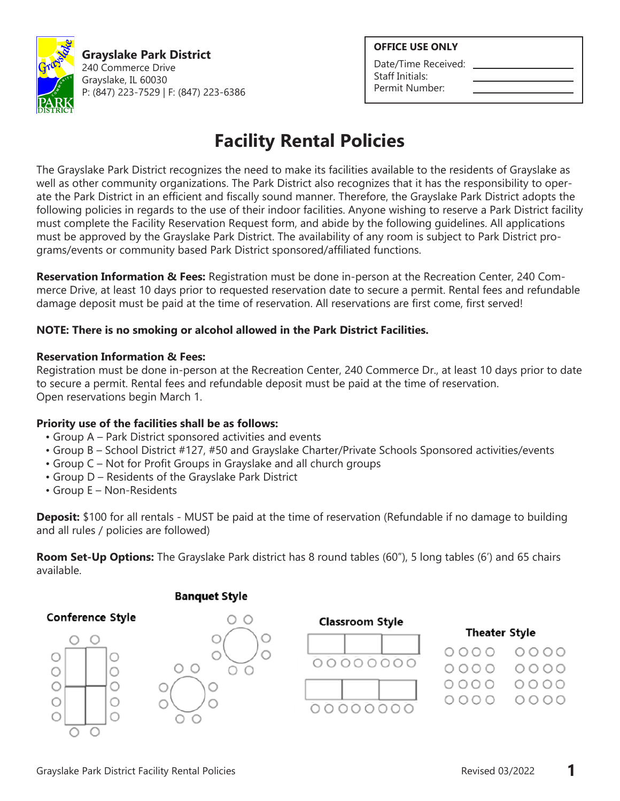

**Grayslake Park District** 240 Commerce Drive Grayslake, IL 60030 P: (847) 223-7529 | F: (847) 223-6386

### **OFFICE USE ONLY**

Date/Time Received: Staff Initials: Permit Number:

# **Facility Rental Policies**

The Grayslake Park District recognizes the need to make its facilities available to the residents of Grayslake as well as other community organizations. The Park District also recognizes that it has the responsibility to operate the Park District in an efficient and fiscally sound manner. Therefore, the Grayslake Park District adopts the following policies in regards to the use of their indoor facilities. Anyone wishing to reserve a Park District facility must complete the Facility Reservation Request form, and abide by the following guidelines. All applications must be approved by the Grayslake Park District. The availability of any room is subject to Park District programs/events or community based Park District sponsored/affiliated functions.

**Reservation Information & Fees:** Registration must be done in-person at the Recreation Center, 240 Commerce Drive, at least 10 days prior to requested reservation date to secure a permit. Rental fees and refundable damage deposit must be paid at the time of reservation. All reservations are first come, first served!

## **NOTE: There is no smoking or alcohol allowed in the Park District Facilities.**

### **Reservation Information & Fees:**

Registration must be done in-person at the Recreation Center, 240 Commerce Dr., at least 10 days prior to date to secure a permit. Rental fees and refundable deposit must be paid at the time of reservation. Open reservations begin March 1.

## **Priority use of the facilities shall be as follows:**

- Group A Park District sponsored activities and events
- Group B School District #127, #50 and Grayslake Charter/Private Schools Sponsored activities/events
- Group C Not for Profit Groups in Grayslake and all church groups
- Group D Residents of the Grayslake Park District
- Group E Non-Residents

**Deposit:** \$100 for all rentals - MUST be paid at the time of reservation (Refundable if no damage to building and all rules / policies are followed)

**Room Set-Up Options:** The Grayslake Park district has 8 round tables (60"), 5 long tables (6') and 65 chairs available.